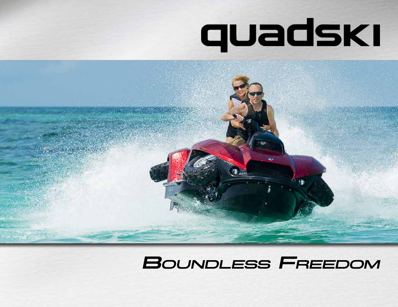# quadski



## **BOUNDLESS FREEDOM**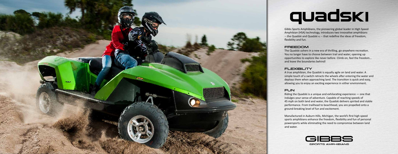

# quadski

Gibbs Sports Amphibians, the pioneering global leader in High Speed Amphibian (HSA) technology, introduces two innovative amphibians -- the Quadski and Quadski xL -- that redefine the ideas of freedom, flexibility and fun.

#### **FREEDOM**

The Quadski ushers in a new era of thrilling, go-anywhere recreation. You no longer have to choose between trail and water, opening up opportunities to explore like never before. Climb on, feel the freedom… and leave the boundaries behind!

#### **FLEXIBILITY**

A true amphibian, the Quadski is equally agile on land and water. A simple touch of a switch retracts the wheels after entering the water and deploys them when approaching land. The transition is quick and easy, allowing you to enjoy an exciting experience in either environment.

#### **FUN**

Riding the Quadski is a unique and exhilarating experience — one that indulges your sense of adventure. Capable of reaching speeds of 45 mph on both land and water, the Quadski delivers spirited and stable performance. From trailhead to beachhead, you are propelled onto a ground-breaking level of fun and excitement.

Manufactured in Auburn Hills, Michigan, the world's first high speed sports amphibians enhance the freedom, flexibility and fun of personal powersports while eliminating the need to compromise between land and water.

![](_page_1_Picture_10.jpeg)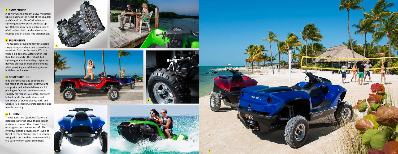#### **1** BMW ENGINE

A powerful and efficient BMW Motorrad K1300 engine is the heart of the Quadski and Quadski xL. BMW's durable but lightweight power plant produces up to 140 horsepower and enables speeds of 45 mph on both land and water for rousing, one-of-a-kind ride experiences.

The Quadski's revolutionary retractable suspension provides a nearly-seamless transition from performance ATV to a wheels-up personal watercraft in less than five seconds. The robust, but lightweight aluminum-alloy suspension delivers protection from the elements, while providing an exhilarating ride on both land and water. 1 BMW ENGINE<br>
A powerful and efficient BMW Mot<br>
K13300 engine is the heart of the Qu<br>
K1300 engine is the heart of the Qu<br>
and Quadski x.. BMW's durable bu<br>
lightweight power plant produces to<br>
to 140 horsepower and enable

#### **2** SUSPENSION

#### **B** COMPOSITE HULL

The Quadski and Quadski xL feature a patented water jet drive that is lighter and more compact than those found on a typical personal watercraft. This inventive design provides high levels of thrust to reach planing speed in seconds, along with outstanding maneuverability

Ride performance and comfort are the result of the Quadski's lightweight composite hull, which delivers a solid planing surface and excellent lateral stability for responsive control on water. In land mode, the wide stance and low center of gravity give Quadski and Quadski xL a smooth, surefooted feel and nimble handling.

#### **JET DRIVE**

![](_page_2_Picture_8.jpeg)

![](_page_2_Picture_9.jpeg)

![](_page_2_Picture_10.jpeg)

![](_page_2_Picture_11.jpeg)

![](_page_2_Picture_12.jpeg)

4

![](_page_2_Picture_13.jpeg)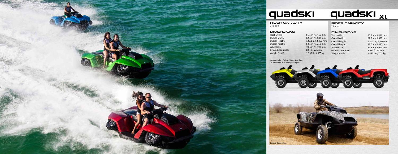![](_page_3_Picture_0.jpeg)

### quadski <sub>xt</sub> quadski

55.5 in / 1,410 mm 62.5 in / 1,587 mm 128.3 in / 3,260 mm 53.5 in / 1,359 mm 70.5 in / 1,790 mm 8.9 in / 225 mm 1,333 lbs / 605 kg

#### Rider Capacity 1 Person

#### **DIMENSIONS**

| Track width:      |
|-------------------|
| Overall width:    |
| Overall length:   |
| Overall height:   |
| Wheelbase:        |
| Ground clearance: |
| Weight (curb):    |
|                   |

#### Rider Capacity 2 Person

#### **DIMENSIONS**

| Track width:      | 55.5 in / 1,410 mm  |
|-------------------|---------------------|
| Overall width:    | 62.5 in / 1,587 mm  |
| Overall length:   | 140.2 in / 3,560 mm |
| Overall height:   | 53.0 in / 1,345 mm  |
| Wheelbase:        | 82.3 in / 2,090 mm  |
| Ground clearance: | 8.6 in / 215 mm     |
| Weight (curb):    | 1,437 lbs / 652 kg  |
|                   |                     |

![](_page_3_Picture_9.jpeg)

Standard colors: Yellow, Silver, Blue, Red. Custom colors available upon request.

![](_page_3_Picture_10.jpeg)